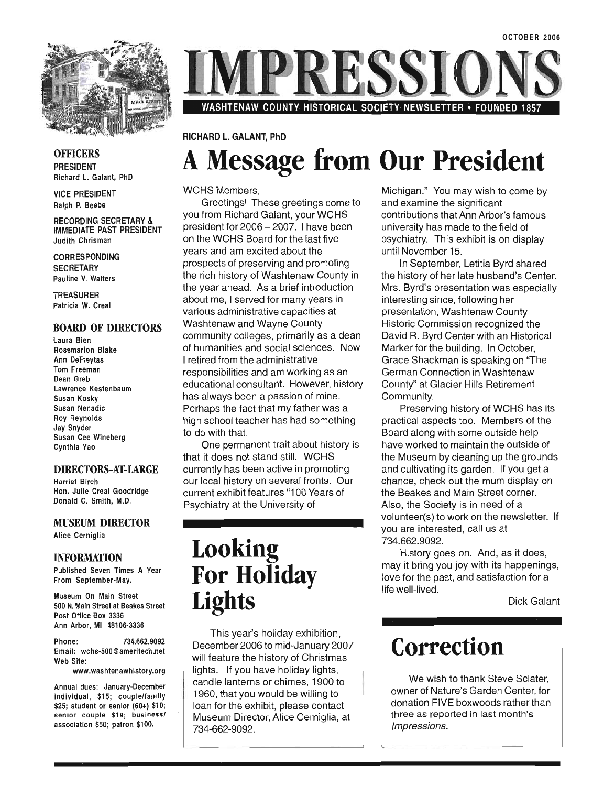

RESSI

WASHTENAW COUNTY HISTORICAL SOCIETY NEWSLETTER • FOUNDED 1857

#### **OFFICERS** PRESIDENT Richard L. Galant, PhD

VICE PRESIDENT Ralph P. Beebe

RECORDING SECRETARY & IMMEDIATE PAST PRESIDENT Judith Chrisman

CORRESPONDING **SECRETARY** Pauline V. Walters

**TREASURER** Patricia W. Creal

#### BOARD OF DIRECTORS

Laura Bien Rosemarion Blake Ann DeFreytas Tom Freeman Dean Greb Lawrence Kestenbaum Susan Kosky Susan Nenadic Roy Reynolds Jay Snyder Susan Cee Wineberg Cynthia Yao

#### DIRECTORS-AT-LARGE

Harriet Birch Hon. Julie Creal Goodridge Donald C. Smith, M.D.

#### MUSEUM DIRECTOR Alice Cerniglia

#### INFORMATION

Published Seven Times A Year From September-May.

Museum On Main Street SOO N. Main Street at Beakes Street Post Office Box 3336 Ann Arbor, MI 48106-3336

Phone: 734.662.9092 Email: wchs-SOO@ameritech.net Web Site:

www.washtenawhistory.org

Annual dues: January-December individual, \$1S; couple/family \$2S; student or senior (60+) \$10; senior couple \$19; businessl association \$SO; patron \$100.

### RICHARD L. GALANT, PhD **A Message from Our President**

WCHS Members,

Greetings! These greetings come to you from Richard Galant, your WCHS president for 2006 - 2007. I have been on the WCHS Board for the last five years and am excited about the prospects of preserving and promoting the rich history of Washtenaw County in the year ahead. As a brief introduction about me, I served for many years in various administrative capacities at Washtenaw and Wayne County community colleges, primarily as a dean of humanities and social sciences. Now I retired from the administrative responsibilities and am working as an educational consultant. However, history has always been a passion of mine. Perhaps the fact that my father was a high school teacher has had something to do with that.

One permanent trait about history is that it does not stand still. WCHS currently has been active in promoting our local history on several fronts. Our current exhibit features "100 Years of Psychiatry at the University of

### **Looking For Holiday Lights**

This year's holiday exhibition, December 2006 to mid-January 2007 will feature the history of Christmas lights. If you have holiday lights, candle lanterns or chimes, 1900 to 1960, that you would be willing to loan for the exhibit, please contact Museum Director, Alice Cerniglia, at 734-662-9092.

Michigan." You may wish to come by and examine the significant contributions that Ann Arbor's famous university has made to the field of psychiatry. This exhibit is on display until November 15.

In September, Letitia Byrd shared the history of her late husband's Center. Mrs. Byrd's presentation was especially interesting since, following her presentation, Washtenaw County Historic Commission recognized the David R. Byrd Center with an Historical Marker for the building. In October, Grace Shackman is speaking on "The German Connection in Washtenaw County" at Glacier Hills Retirement Community.

Preserving history of WCHS has its practical aspects too. Members of the Board along with some outside help have worked to maintain the outside of the Museum by cleaning up the grounds and cultivating its garden. If you get a chance, check out the mum display on the Beakes and Main Street corner. Also, the Society is in need of a volunteer(s) to work on the newsletter. If you are interested, call us at 734.662.9092.

History goes on. And, as it does, may it bring you joy with its happenings, love for the past, and satisfaction for a life well-lived.

Dick Galant

### **Correction**

We wish to thank Steve Sclater, owner of Nature's Garden Center, for donation FIVE boxwoods rather than three as reported in last month's Impressions.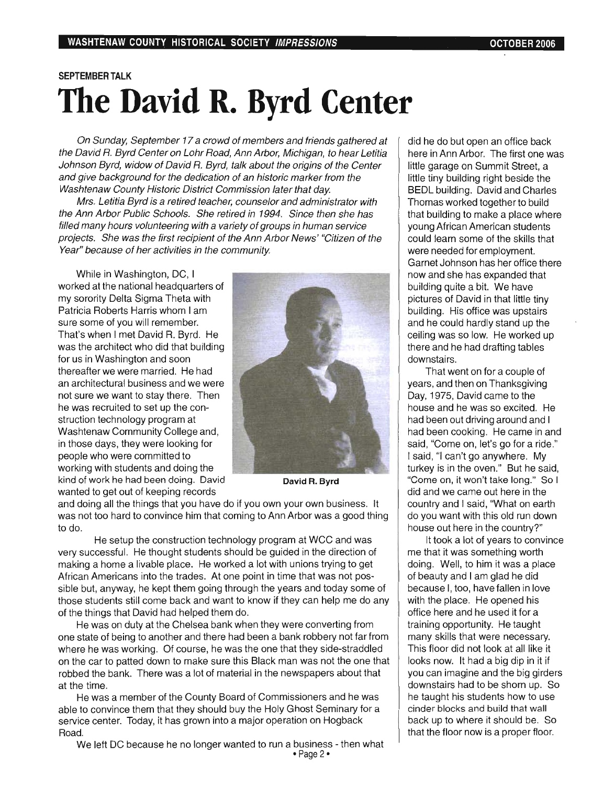### SEPTEMBER TALK **The David R. Byrd Center**

On Sunday, September 17 a crowd of members and friends gathered at the David R. Byrd Center on Lohr Road, Ann Arbor, Michigan, to hear Letitia Johnson Byrd, widow of David R. Byrd, talk about the origins of the Center and give background for the dedication of an historic marker from the Washtenaw County Historic District Commission later that day.

Mrs. Letitia Byrd is a retired teacher, counselor and administrator with the Ann Arbor Public Schools. She retired in 1994. Since then she has filled many hours volunteering with a variety of groups in human service projects. She was the first recipient of the Ann Arbor News' "Citizen of the Year" because of her activities in the community.

While in Washington, DC, I worked at the national headquarters of my sorority Delta Sigma Theta with Patricia Roberts Harris whom I am sure some of you will remember. That's when I met David R. Byrd. He was the architect who did that building for us in Washington and soon thereafter we were married. He had an architectural business and we were not sure we want to stay there. Then he was recruited to set up the construction technology program at Washtenaw Community College and, in those days, they were looking for people who were committed to working with students and doing the kind of work he had been doing. David **David R. Byrd** wanted to get out of keeping records



and doing all the things that you have do if you own your own business. It was not too hard to convince him that coming to Ann Arbor was a good thing to do.

He setup the construction technology program at WCC and was very successful. He thought students should be guided in the direction of making a home a livable place. He worked a lot with unions trying to get African Americans into the trades. At one point in time that was not possible but, anyway, he kept them going through the years and today some of those students still come back and want to know if they can help me do any of the things that David had helped them do.

He was on duty at the Chelsea bank when they were converting from one state of being to another and there had been a bank robbery not far from where he was working. Of course, he was the one that they side-straddled on the car to patted down to make sure this Black man was not the one that robbed the bank. There was a lot of material in the newspapers about that at the time.

He was a member of the County Board of Commissioners and he was able to convince them that they should buy the Holy Ghost Seminary for a service center. Today, it has grown into a major operation on Hogback Road.

We left DC because he no longer wanted to run a business - then what  $\cdot$  Page 2 $\cdot$ 

did he do but open an office back here in Ann Arbor. The first one was little garage on Summit Street, a little tiny building right beside the BEDL building. David and Charles Thomas worked together to build that building to make a place where young African American students could learn some of the skills that were needed for employment. Garnet Johnson has her office there now and she has expanded that building quite a bit. We have pictures of David in that little tiny building. His office was upstairs and he could hardly stand up the ceiling was so low. He worked up there and he had drafting tables downstairs.

That went on for a couple of years, and then on Thanksgiving Day, 1975, David came to the house and he was so excited. He had been out driving around and I had been cooking. He came in and said, "Come on, let's go for a ride." I said, "I can't go anywhere. My turkey is in the oven." But he said, "Come on, it won't take long." So I did and we came out here in the country and I said, ''What on earth do you want with this old run down house out here in the country?"

It took a lot of years to convince me that it was something worth doing. Well, to him it was a place of beauty and I am glad he did because I, too, have fallen in love with the place. He opened his office here and he used it for a training opportunity. He taught many skills that were necessary. This floor did not look at all like it looks now. It had a big dip in it if you can imagine and the big girders downstairs had to be shorn up. So he taught his students how to use cinder blocks and build that wall back up to where it should be. So that the floor now is a proper floor.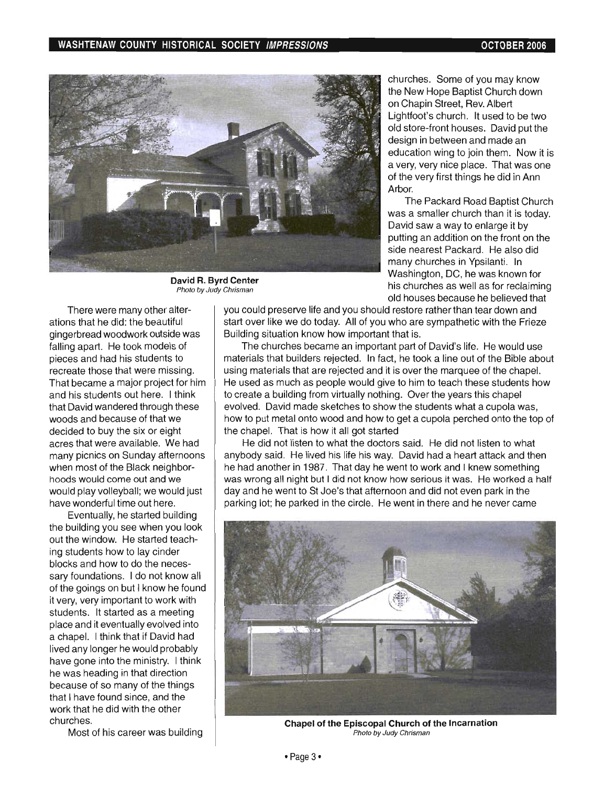

David R. Byrd Center Photo by Judy Chrisman

There were many other alterations that he did: the beautiful gingerbread woodwork outside was falling apart. He took models of pieces and had his students to recreate those that were missing. That became a major project for him and his students out here. I think that David wandered through these woods and because of that we decided to buy the six or eight acres that were available. We had many picnics on Sunday afternoons when most of the Black neighborhoods would come out and we would play volleyball; we would just have wonderful time out here.

Eventually, he started building the building you see when you look out the window. He started teaching students how to lay cinder blocks and how to do the necessary foundations. I do not know all of the goings on but I know he found it very, very important to work with students. It started as a meeting place and it eventually evolved into a chapel. I think that if David had lived any longer he would probably have gone into the ministry. I think he was heading in that direction because of so many of the things that I have found since, and the work that he did with the other churches.

Most of his career was building

churches. Some of you may know the New Hope Baptist Church down on Chapin Street, Rev. Albert Lightfoot's church. It used to be two old store-front houses. David put the design in between and made an education wing to join them. Now it is a very, very nice place. That was one of the very first things he did in Ann Arhor

The Packard Road Baptist Church was a smaller church than it is today. David saw a way to enlarge it by putting an addition on the front on the side nearest Packard. He also did many churches in Ypsilanti. In Washington, DC, he was known for his churches as well as for reclaiming old houses because he believed that

you could preserve life and you should restore rather than tear down and start over like we do today. All of you who are sympathetic with the Frieze Building situation know how important that is.

The churches became an important part of David's life. He would use materials that builders rejected. In fact, he took a line out of the Bible about using materials that are rejected and it is over the marquee of the chapel. He used as much as people would give to him to teach these students how to create a building from virtually nothing. Over the years this chapel evolved. David made sketches to show the students what a cupola was, how to put metal onto wood and how to get a cupola perched onto the top of the chapel. That is how it all got started

He did not listen to what the doctors said. He did not listen to what anybody said. He lived his life his way. David had a heart attack and then he had another in 1987. That day he went to work and I knew something was wrong all night but I did not know how serious it was. He worked a half day and he went to St Joe's that afternoon and did not even park in the parking lot; he parked in the circle. He went in there and he never came



Chapel of the Episcopal Church of the Incarnation Photo by Judy Chrisman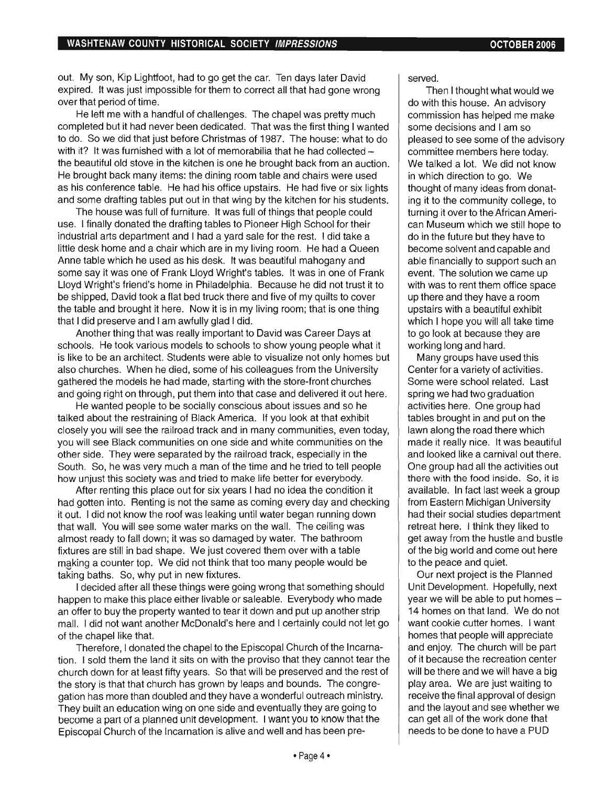out. My son, Kip Lightfoot, had to go get the car. Ten days later David expired. It was just impossible for them to correct all that had gone wrong over that period of time.

He left me with a handful of challenges. The chapel was pretty much completed but it had never been dedicated. That was the first thing I wanted to do. So we did that just before Christmas of 1987. The house: what to do with it? It was furnished with a lot of memorabilia that he had collected  $$ the beautiful old stove in the kitchen is one he brought back from an auction. He brought back many items: the dining room table and chairs were used as his conference table. He had his office upstairs. He had five or six lights and some drafting tables put out in that wing by the kitchen for his students.

The house was full of furniture. It was full of things that people could use. I finally donated the drafting tables to Pioneer High School for their industrial arts department and I had a yard sale for the rest. I did take a little desk home and a chair which are in my living room. He had a Queen Anne table which he used as his desk. It was beautiful mahogany and some say it was one of Frank Lloyd Wright's tables. It was in one of Frank Lloyd Wright's friend's home in Philadelphia. Because he did not trust it to be shipped, David took a flat bed truck there and five of my quilts to cover the table and brought it here. Now it is in my living room; that is one thing that I did preserve and I am awfully glad I did.

Another thing that was really important to David was Career Days at schools. He took various models to schools to show young people what it is like to be an architect. Students were able to visualize not only homes but also churches. When he died, some of his colleagues from the University gathered the models he had made, starting with the store-front churches and going right on through, put them into that case and delivered it out here.

He wanted people to be socially conscious about issues and so he talked about the restraining of Black America. If you look at that exhibit closely you will see the railroad track and in many communities, even today, you will see Black communities on one side and white communities on the other side. They were separated by the railroad track, especially in the South. So, he was very much a man of the time and he tried to tell people how unjust this society was and tried to make life better for everybody.

After renting this place out for six years I had no idea the condition it had gotten into. Renting is not the same as coming every day and checking it out. I did not know the roof was leaking until water began running down that wall. You will see some water marks on the wall. The ceiling was almost ready to fall down; it was so damaged by water. The bathroom fixtures are still in bad shape. We just covered them over with a table making a counter top. We did not think that too many people would be taking baths. So, why put in new fixtures.

I decided after all these things were going wrong that something should happen to make this place either livable or saleable. Everybody who made an offer to buy the property wanted to tear it down and put up another strip mall. I did not want another McDonald's here and I certainly could not let go of the chapel like that.

Therefore, I donated the chapel to the Episcopal Church of the Incarnation. I sold them the land it sits on with the proviso that they cannot tear the church down for at least fifty years. So that will be preserved and the rest of the story is that that church has grown by leaps and bounds. The congregation has more than doubled and they have a wonderful outreach ministry. They built an education wing on one side and eventually they are going to become a part of a planned unit development. I want you to Know that the Episcopal Church of the Incarnation is alive and well and has been preserved.

Then I thought what would we do with this house. An advisory commission has helped me make some decisions and I am so pleased to see some of the advisory committee members here today. We talked a lot. We did not know in which direction to go. We thought of many ideas from donating it to the community college, to turning it over to the African American Museum which we still hope to do in the future but they have to become solvent and capable and able financially to support such an event. The solution we came up with was to rent them office space up there and they have a room upstairs with a beautiful exhibit which I hope you will all take time to go look at because they are working long and hard.

Many groups have used this Center for a variety of activities. Some were school related. Last spring we had two graduation activities here. One group had tables brought in and put on the lawn along the road there which made it really nice. It was beautiful and looked like a carnival out there. One group had all the activities out there with the food inside. So, it is available. In fact last week a group from Eastern Michigan University had their social studies department retreat here. I think they liked to get away from the hustle and bustle of the big world and come out here to the peace and quiet.

Our next project is the Planned Unit Development. Hopefully, next year we will be able to put homes -14 homes on that land. We do not want cookie cutter homes. I want homes that people will appreciate and enjoy. The church will be part of it because the recreation center will be there and we will have a big play area. We are just waiting to receive the final approval of design and the layout and see whether we can get all of the work done that needs to be done to have a PUD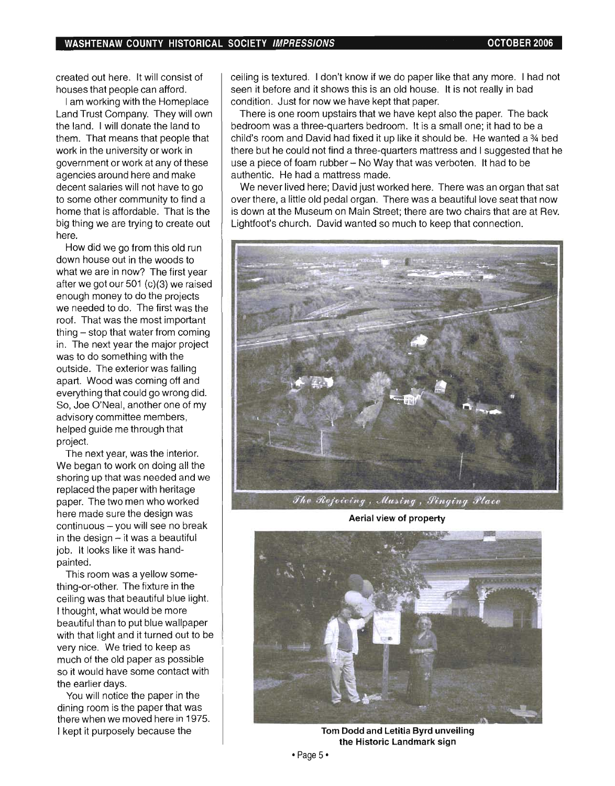created out here. It will consist of houses that people can afford.

I am working with the Homeplace Land Trust Company. They will own the land. I will donate the land to them. That means that people that work in the university or work in government or work at any of these agencies around here and make decent salaries will not have to go to some other community to find a home that is affordable. That is the big thing we are trying to create out here.

How did we go from this old run down house out in the woods to what we are in now? The first year after we got our 501 (c)(3) we raised enough money to do the projects we needed to do. The first was the roof. That was the most important thing - stop that water from coming in. The next year the major project was to do something with the outside. The exterior was falling apart. Wood was coming off and everything that could go wrong did. So, Joe O'Neal, another one of my advisory committee members, helped guide me through that project.

The next year, was the interior. We began to work on doing all the shoring up that was needed and we replaced the paper with heritage paper. The two men who worked here made sure the design was  $continuous - you$  will see no break in the design  $-$  it was a beautiful job. It looks like it was handpainted.

This room was a yellow something-or-other. The fixture in the ceiling was that beautiful blue light. I thought, what would be more beautiful than to put blue wallpaper with that light and it turned out to be very nice. We tried to keep as much of the old paper as possible so it would have some contact with the earlier days.

You will notice the paper in the dining room is the paper that was there when we moved here in 1975. I kept it purposely because the

ceiling is textured. I don't know if we do paper like that any more. I had not seen it before and it shows this is an old house. It is not really in bad condition. Just for now we have kept that paper.

There is one room upstairs that we have kept also the paper. The back bedroom was a three-quarters bedroom. It is a small one; it had to be a child's room and David had fixed it up like it should be. He wanted a % bed there but he could not find a three-quarters mattress and I suggested that he use a piece of foam rubber  $-$  No Way that was verboten. It had to be authentic. He had a mattress made.

We never lived here: David just worked here. There was an organ that sat over there, a little old pedal organ. There was a beautiful love seat that now is down at the Museum on Main Street; there are two chairs that are at Rev. Lightfoot's church. David wanted so much to keep that connection.



Aerial view of property



Tom Dodd and Letitia Byrd unveiling the Historic Landmark sign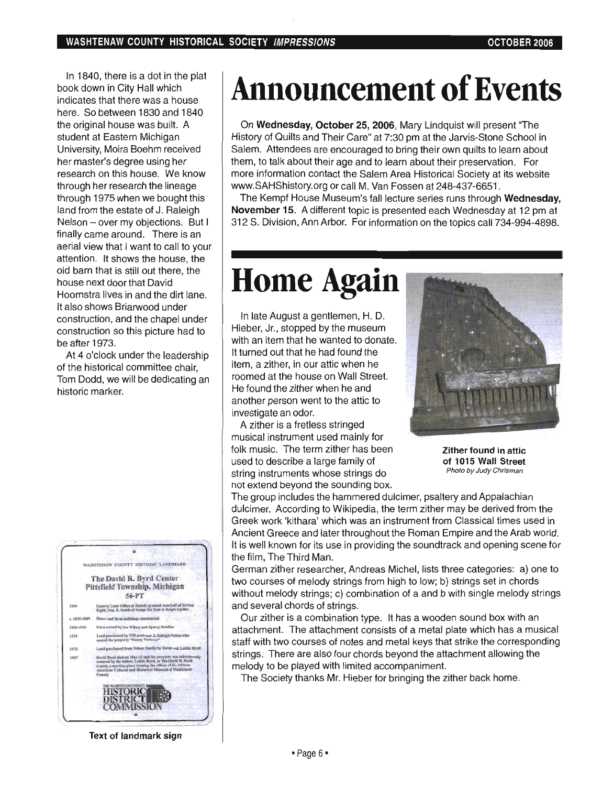In 1840, there is a dot in the plat book down in City Hall which indicates that there was a house here. So between 1830 and 1840 the original house was built. A student at Eastern Michigan University, Moira Boehm received her master's degree using her research on this house. We know through her research the lineage through 1975 when we bought this land from the estate of J. Raleigh Nelson - over my objections. But I finally came around. There is an aerial view that I want to call to your attention. It shows the house, the old barn that is still out there, the house next door that David Hoornstra lives in and the dirt lane. It also shows Briarwood under construction, and the chapel under construction so this picture had to be after 1973.

At 4 o'clock under the leadership of the historical committee chair, Tom Dodd, we will be dedicating an historic marker.



Text of landmark sign

# **Announcement of Events**

On Wednesday, October 25, 2006, Mary Lindquist will present "The History of Quilts and Their Care" at 7:30 pm at the Jarvis-Stone School in Salem. Attendees are encouraged to bring their own quilts to learn about them, to talk about their age and to learn about their preservation. For more information contact the Salem Area Historical Society at its website www.SAHShistory.org or call M. Van Fossen at 248-437-6651.

The Kempf House Museum's fall lecture series runs through Wednesday, November 15. A different topic is presented each Wednesday at 12 pm at 312 S. Division, Ann Arbor. For information on the topics call 734-994-4898.

## **Home Again**

In late August a gentlemen, H. D. Hieber, Jr., stopped by the museum with an item that he wanted to donate. It turned out that he had found the item, a zither, in our attic when he roomed at the house on Wall Street. He found the zither when he and another person went to the attic to investigate an odor.

A zither is a fretless stringed musical instrument used mainly for folk music. The term zither has been used to describe a large family of string instruments whose strings do not extend beyond the sounding box.



Zither found in attic of 1015 Wall Street Photo by Judy Chrisman

The group includes the hammered dulcimer, psaltery and Appalachian dulcimer. According to Wikipedia, the term zither may be derived from the Greek work 'kithara' which was an instrument from Classical times used in Ancient Greece and later throughout the Roman Empire and the Arab world. It is well known for its use in providing the soundtrack and opening scene for the film, The Third Man.

German zither researcher, Andreas Michel, lists three categories: a) one to two courses of melody strings from high to low; b) strings set in chords without melody strings; c) combination of a and b with single melody strings and several chords of strings.

Our zither is a combination type. It has a wooden sound box with an attachment. The attachment consists of a metal plate which has a musical staff with two courses of notes and metal keys that strike the corresponding strings. There are also four chords beyond the attachment allowing the melody to be played with limited accompaniment.

The Society thanks Mr. Hieber for bringing the zither back home.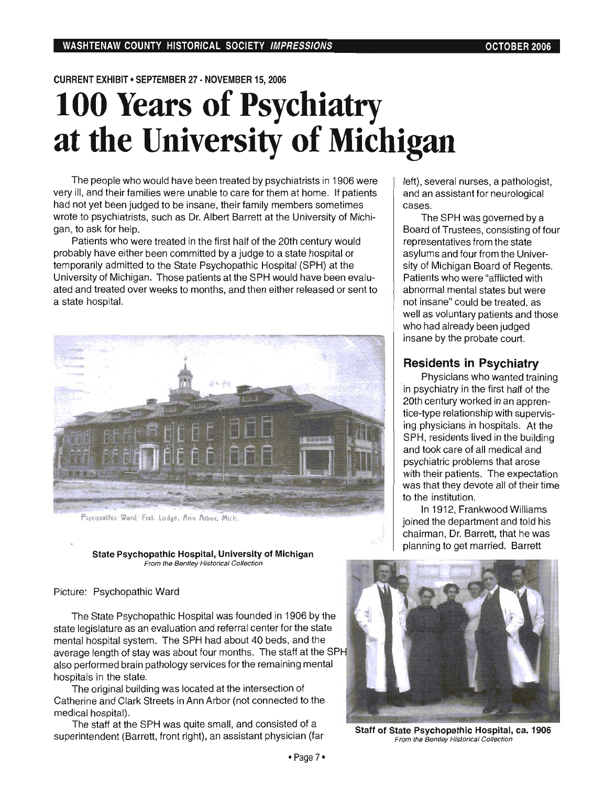#### CURRENT EXHIBIT • SEPTEMBER 27 - NOVEMBER 15, 2006

## **100 Years of Psychiatry at the University of Michigan**

The people who would have been treated by psychiatrists in 1906 were very ill, and their families were unable to care for them at home. If patients had not yet been judged to be insane, their family members sometimes wrote to psychiatrists, such as Dr. Albert Barrett at the University of Michigan, to ask for help.

Patients who were treated in the first half of the 20th century would probably have either been committed by a judge to a state hospital or temporarily admitted to the State Psychopathic Hospital (SPH) at the University of Michigan. Those patients at the SPH would have been evaluated and treated over weeks to months, and then either released or sent to a state hospital.



Psycopathic Ward, Frat, Lodge, Ann Arbor, Mich.

#### State Psychopathic Hospital, University of Michigan From the Bentley Historical Collection

#### Picture: Psychopathic Ward

The State Psychopathic Hospital was founded in 1906 by the state legislature as an evaluation and referral center for the state mental hospital system. The SPH had about 40 beds, and the average length of stay was about four months. The staff at the SPH also performed brain pathology services for the remaining mental hospitals in the state.

The original building was located at the intersection of Catherine and Clark Streets in Ann Arbor (not connected to the medical hospital).

The staff at the SPH was quite small, and consisted of a superintendent (Barrett, front right), an assistant physician (far Staff of State Psychopathic Hospital, ca. 1906<br>Staff of State Psychopathic Hospital, ca. 1906

left), several nurses, a pathologist, and an assistant for neurological cases.

The SPH was governed by a Board of Trustees, consisting of four representatives from the state asylums and four from the University of Michigan Board of Regents. Patients who were "afflicted with abnormal mental states but were not insane" could be treated, as well as voluntary patients and those who had already been judged insane by the probate court.

#### **Residents in Psychiatry**

Physicians who wanted training in psychiatry in the first half of the 20th century worked in an apprentice-type relationship with supervising physicians in hospitals. At the SPH, residents lived in the building and took care of all medical and psychiatric problems that arose with their patients. The expectation was that they devote all of their time to the institution.

In 1912, Frankwood Williams joined the department and told his chairman, Dr. Barrett, that he was planning to get married. Barrett



From the Bentley Historical Collection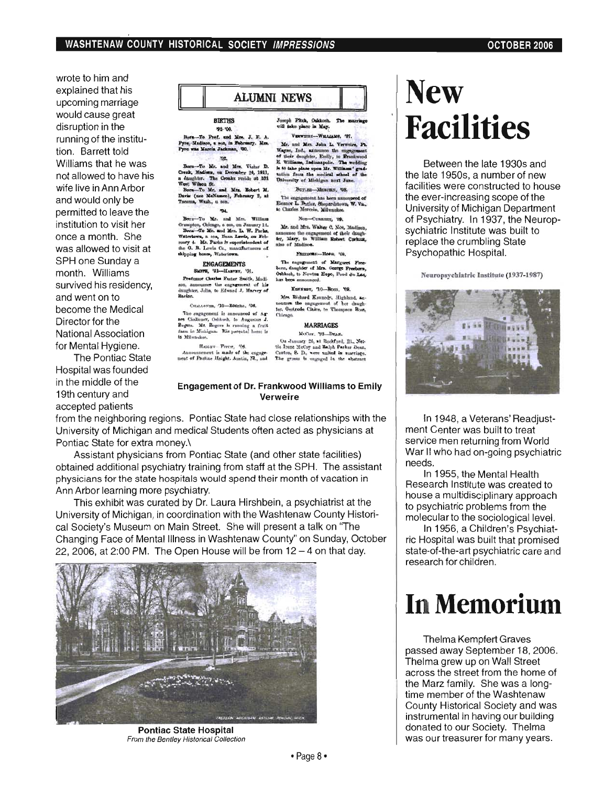wrote to him and explained that his upcoming marriage would cause great disruption in the running of the institution. Barrett told Williams that he was not allowed to have his wife live in Ann Arbor and would only be permitted to leave the institution to visit her once a month. She was allowed to visit at SPH one Sunday a month. Williams survived his residency. and went on to become the Medical Director for the National Association for Mental Hygiene.

The Pontiac State Hospital was founded in the middle of the 19th century and accepted patients

**BIRTHS** 92-100

**ALUMNI NEWS** 

-To Prof. and Mrs. J. F. A.<br>Indiana, a son, in Fobreary. Mrs.<br>is Marcia Jackman, '00.  $M$ adia  $rac{1}{2}$ 

Born-To Mr. and Mrs. Vistar D.<br>Creak, Madissa, on December 24, 1911,<br>a daughter. The Groaks reside at 351<br>Way Whoo Rt. and Mrs. Eckert M.<br>Barra—To Mr. and Mrs. Eckert M.<br>Thomas. Wash. a son. Crook, Madia Wash., a son

Born-To Mr. and Mrs. William Down-To Ste, and Mrs. Winters 1.<br>Crumpton, Chicago, a son, on Jenuary 14.<br>Dorn-To Mr. and Mrs. L. W. Parks,<br>Watertown, a son, Dana Lewis, on Fol-<br>pury 4. Mr. Parks is requiristedents of<br>the G. B. Lewis Co., manafhatester o

#### **ENGAGEMENTS** SMPR, '01-Навчит, '01.

Professor Charles Faster Smith, Madison, assessors the engagement of his

Спаплекии, 70-Rossas, 706. The engagement is announced of Agents Challener, Oshkosh, to Augustus J. Regeen. Mr. Rogers is running a fruit faces in Michigan. His percental home is to Milwaukee.

Hatouv- Fvers, 706.<br>Announcement is made of the engage-<br>ment of Pauline Haight. Austin, IR., and

#### Moseph Fitch, Oxhlosh,<br>with take place in May. VERTICE-WILLIAMS, 407.

Mr. and Mrs. John L. Verweire, Pt. Mr. and Mrs. John L. Verweire, Pr. 1987.<br>Wayne, Ind., azirounce the employment of their desighter, Emily, to Frankwood E. Williams, Indianary<br>Lie. The wedding is to take plane the Williams (profile at the color profiles) w

Витан-Миксин, 708. The engagement has been announced of Eleanor L. Butler, Shepardstown, W. Va., to Charles Mercein, Milwaukee.

Non-Создант, 99.

Mr. and Mrs. Walter C. Noe, Madison<br>nanounce the engagement of their daughter, Mary, to William Robert Corkes<br>also of Madison.

Funnous-Horn. too

The engagement of Margaret Free-born, daughter of Mrs. George Freeborn, Oshkosh, to Newton Hope, Poud du Lao, has been amounced.

Киског, 70-Волл. 79. Mrs. Richard Kennedy, Highland, acnounces the engagement of her daugh-<br>ter. Gertrude Claire, to Thompson Rose, Chiengo.

#### **MARRIAGES**

McCor. '99-Dras.

Ou January 26, at Rockford, Ill., Net-<br>tis Irene McCoy and Ralph Parker Dear,<br>Cauton, S. D., were united in nuaringe.<br>The groots is engaged in the abstract

#### **Engagement of Dr. Frankwood Williams to Emily Verweire**

from the neighboring regions. Pontiac State had close relationships with the University of Michigan and medical Students often acted as physicians at Pontiac State for extra money.\

Assistant physicians from Pontiac State (and other state facilities) obtained additional psychiatry training from staff at the SPH. The assistant physicians for the state hospitals would spend their month of vacation in Ann Arbor learning more psychiatry.

This exhibit was curated by Dr. Laura Hirshbein, a psychiatrist at the University of Michigan, in coordination with the Washtenaw County Historical Society's Museum on Main Street. She will present a talk on "The Changing Face of Mental Illness in Washtenaw County" on Sunday, October 22, 2006, at 2:00 PM. The Open House will be from  $12 - 4$  on that day.



**Pontiac State Hospital** From the Bentley Historical Collection

# **New Facilities**

Between the late 1930s and the late 1950s, a number of new facilities were constructed to house the ever-increasing scope of the University of Michigan Department of Psychiatry. In 1937, the Neuropsychiatric Institute was built to replace the crumbling State Psychopathic Hospital.

Neuropsychiatric Institute (1937-1987)



In 1948, a Veterans' Readjustment Center was built to treat service men returning from World War II who had on-going psychiatric needs.

In 1955, the Mental Health Research Institute was created to house a multidisciplinary approach to psychiatric problems from the molecular to the sociological level.

In 1956, a Children's Psychiatric Hospital was built that promised state-of-the-art psychiatric care and research for children.

## **In Memorium**

Thelma Kempfert Graves passed away September 18, 2006. Thelma grew up on Wall Street across the street from the home of the Marz family. She was a longtime member of the Washtenaw County Historical Society and was instrumental in having our building donated to our Society. Thelma was our treasurer for many years.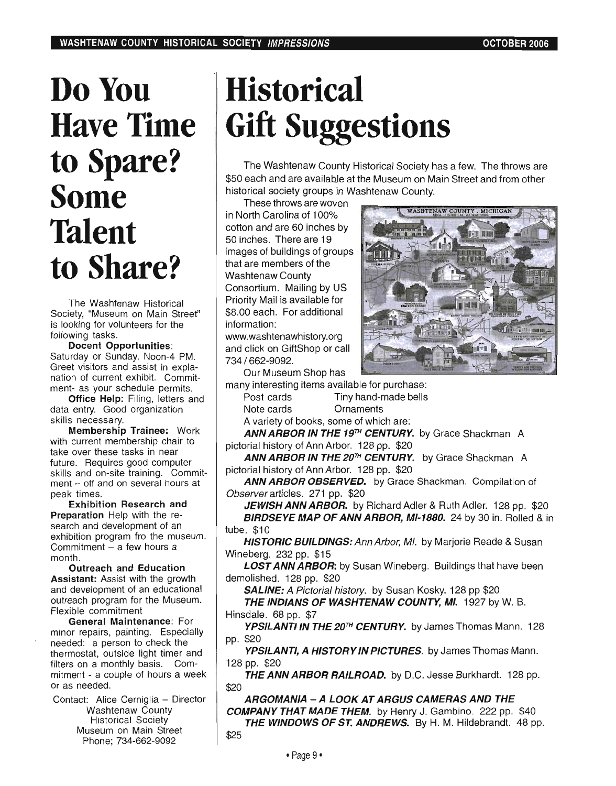# **DoYon Have** Time to Spare? **Some Talent to Share?**

The Washtenaw Historical Society, "Museum on Main Street" is looking for volunteers for the following tasks.

Docent Opportunities: Saturday or Sunday, Noon-4 PM. Greet visitors and assist in explanation of current exhibit. Commitment- as your schedule permits.

Office Help: Filing, letters and data entry. Good organization skills necessary.

Membership Trainee: Work with current membership chair to take over these tasks in near future. Requires good computer skills and on-site training. Commitment - off and on several hours at peak times.

Exhibition Research and Preparation Help with the research and development of an exhibition program fro the museum. Commitment - a few hours a month.

Outreach and Education Assistant: Assist with the growth and development of an educational outreach program for the Museum. Flexible commitment

General Maintenance: For minor repairs, painting. Especially needed: a person to check the thermostat, outside light timer and filters on a monthly basis. Commitment - a couple of hours a week or as needed.

Contact: Alice Cerniglia - Director Washtenaw County Historical Society Museum on Main Street Phone; 734-662-9092

# **Historical**  Gift Suggestions

The Washtenaw County Historical Society has a few. The throws are \$50 each and are available at the Museum on Main Street and from other historical society groups in Washtenaw County.

These throws are woven in North Carolina of 100% cotton and are 60 inches by 50 inches. There are 19 images of buildings of groups that are members of the Washtenaw County Consortium. Mailing by US Priority Mail is available for \$8.00 each. For additional information:

www.washtenawhistory.org and click on GiftShop or call 734/662-9092.



Our Museum Shop has many interesting items available for purchase:

Post cards Tiny hand-made bells Note cards Ornaments

A variety of books, some of which are:

ANN ARBOR IN THE 19<sup>TH</sup> CENTURY. by Grace Shackman A pictorial history of Ann Arbor. 128 pp. \$20

ANN ARBOR IN THE 20TH CENTURY. by Grace Shackman A pictorial history of Ann Arbor. 128 pp. \$20

ANN ARBOR OBSERVED. by Grace Shackman. Compilation of Observer articles. 271 pp. \$20

JEWISH ANN ARBOR. by Richard Adler & Ruth Adler. 128 pp. \$20 BIRDSEYE MAP OF ANN ARBOR, MI-1880. 24 by 30 in. Rolled & in tube. \$10

HISTORIC BUILDINGS: Ann Arbor, MI. by Marjorie Reade & Susan Wineberg. 232 pp. \$15

**LOST ANN ARBOR:** by Susan Wineberg. Buildings that have been demolished. 128 pp. \$20

**SALINE:** A Pictorial history. by Susan Kosky. 128 pp \$20

THE INDIANS OF WASHTENAW COUNTY, MI. 1927 by W. B. Hinsdale. 68 pp. \$7

YPSILANTI IN THE 20<sup>TH</sup> CENTURY. by James Thomas Mann. 128 pp. \$20

YPSILANTI, A HISTORY IN PICTURES. by James Thomas Mann. 128 pp. \$20

THE ANN ARBOR RAILROAD. by D.C. Jesse Burkhardt. 128 pp. \$20

ARGOMANIA - A LOOK AT ARGUS CAMERAS AND THE COMPANY THAT MADE THEM. by Henry J. Gambino. 222 pp. \$40 THE WINDOWS OF ST. ANDREWS. By H. M. Hildebrandt. 48 pp. \$25